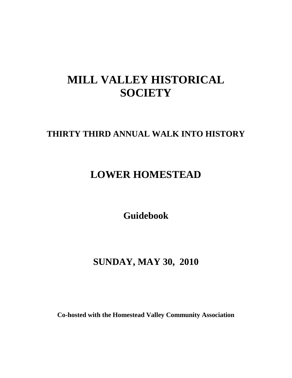# **MILL VALLEY HISTORICAL SOCIETY**

# **THIRTY THIRD ANNUAL WALK INTO HISTORY**

# **LOWER HOMESTEAD**

**Guidebook**

# **SUNDAY, MAY 30, 2010**

**Co-hosted with the Homestead Valley Community Association**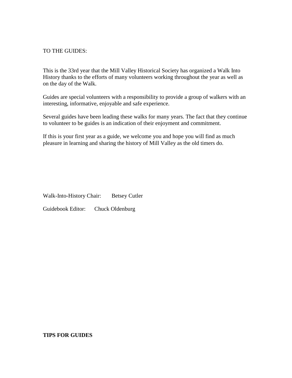#### TO THE GUIDES:

This is the 33rd year that the Mill Valley Historical Society has organized a Walk Into History thanks to the efforts of many volunteers working throughout the year as well as on the day of the Walk.

Guides are special volunteers with a responsibility to provide a group of walkers with an interesting, informative, enjoyable and safe experience.

Several guides have been leading these walks for many years. The fact that they continue to volunteer to be guides is an indication of their enjoyment and commitment.

If this is your first year as a guide, we welcome you and hope you will find as much pleasure in learning and sharing the history of Mill Valley as the old timers do.

Walk-Into-History Chair: Betsey Cutler

Guidebook Editor: Chuck Oldenburg

#### **TIPS FOR GUIDES**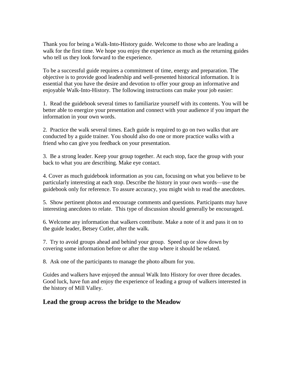Thank you for being a Walk-Into-History guide. Welcome to those who are leading a walk for the first time. We hope you enjoy the experience as much as the returning guides who tell us they look forward to the experience.

To be a successful guide requires a commitment of time, energy and preparation. The objective is to provide good leadership and well-presented historical information. It is essential that you have the desire and devotion to offer your group an informative and enjoyable Walk-Into-History. The following instructions can make your job easier:

1. Read the guidebook several times to familiarize yourself with its contents. You will be better able to energize your presentation and connect with your audience if you impart the information in your own words.

2. Practice the walk several times. Each guide is required to go on two walks that are conducted by a guide trainer. You should also do one or more practice walks with a friend who can give you feedback on your presentation.

3. Be a strong leader. Keep your group together. At each stop, face the group with your back to what you are describing. Make eye contact.

4. Cover as much guidebook information as you can, focusing on what you believe to be particularly interesting at each stop. Describe the history in your own words—use the guidebook only for reference. To assure accuracy, you might wish to read the anecdotes.

5. Show pertinent photos and encourage comments and questions. Participants may have interesting anecdotes to relate. This type of discussion should generally be encouraged.

6. Welcome any information that walkers contribute. Make a note of it and pass it on to the guide leader, Betsey Cutler, after the walk.

7. Try to avoid groups ahead and behind your group. Speed up or slow down by covering some information before or after the stop where it should be related.

8. Ask one of the participants to manage the photo album for you.

Guides and walkers have enjoyed the annual Walk Into History for over three decades. Good luck, have fun and enjoy the experience of leading a group of walkers interested in the history of Mill Valley.

#### **Lead the group across the bridge to the Meadow**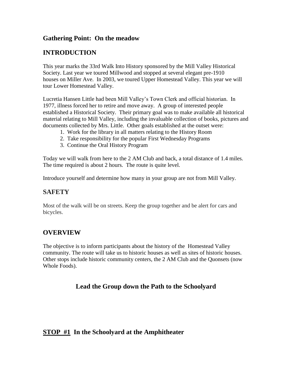#### **Gathering Point: On the meadow**

# **INTRODUCTION**

This year marks the 33rd Walk Into History sponsored by the Mill Valley Historical Society. Last year we toured Millwood and stopped at several elegant pre-1910 houses on Miller Ave. In 2003, we toured Upper Homestead Valley. This year we will tour Lower Homestead Valley.

Lucretia Hansen Little had been Mill Valley's Town Clerk and official historian. In 1977, illness forced her to retire and move away. A group of interested people established a Historical Society. Their primary goal was to make available all historical material relating to Mill Valley, including the invaluable collection of books, pictures and documents collected by Mrs. Little. Other goals established at the outset were:

- 1. Work for the library in all matters relating to the History Room
- 2. Take responsibility for the popular First Wednesday Programs
- 3. Continue the Oral History Program

Today we will walk from here to the 2 AM Club and back, a total distance of 1.4 miles. The time required is about 2 hours. The route is quite level.

Introduce yourself and determine how many in your group are not from Mill Valley.

# **SAFETY**

Most of the walk will be on streets. Keep the group together and be alert for cars and bicycles.

# **OVERVIEW**

The objective is to inform participants about the history of the Homestead Valley community. The route will take us to historic houses as well as sites of historic houses. Other stops include historic community centers, the 2 AM Club and the Quonsets (now Whole Foods).

# **Lead the Group down the Path to the Schoolyard**

# **STOP #1 In the Schoolyard at the Amphitheater**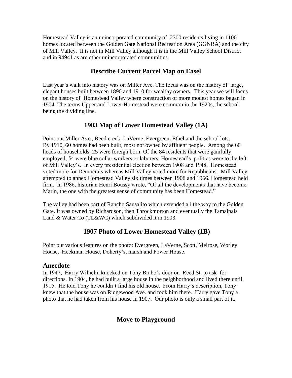Homestead Valley is an unincorporated community of 2300 residents living in 1100 homes located between the Golden Gate National Recreation Area (GGNRA) and the city of Mill Valley. It is not in Mill Valley although it is in the Mill Valley School District and in 94941 as are other unincorporated communities.

# **Describe Current Parcel Map on Easel**

Last year's walk into history was on Miller Ave. The focus was on the history of large, elegant houses built between 1890 and 1910 for wealthy owners. This year we will focus on the history of Homestead Valley where construction of more modest homes began in 1904. The terms Upper and Lower Homestead were common in the 1920s, the school being the dividing line.

# **1903 Map of Lower Homestead Valley (1A)**

Point out Miller Ave., Reed creek, LaVerne, Evergreen, Ethel and the school lots. By 1910, 60 homes had been built, most not owned by affluent people. Among the 60 heads of households, 25 were foreign born. Of the 84 residents that were gainfully employed, 54 were blue collar workers or laborers. Homestead's politics were to the left of Mill Valley's. In every presidential election between 1908 and 1948, Homestead voted more for Democrats whereas Mill Valley voted more for Republicans. Mill Valley attempted to annex Homestead Valley six times between 1908 and 1966. Homestead held firm. In 1986, historian Henri Boussy wrote, "Of all the developments that have become Marin, the one with the greatest sense of community has been Homestead."

The valley had been part of Rancho Sausalito which extended all the way to the Golden Gate. It was owned by Richardson, then Throckmorton and eventually the Tamalpais Land & Water Co (TL&WC) which subdivided it in 1903.

# **1907 Photo of Lower Homestead Valley (1B)**

Point out various features on the photo: Evergreen, LaVerne, Scott, Melrose, Worley House, Heckman House, Doherty's, marsh and Power House.

# **Anecdote**

In 1947, Harry Wilhelm knocked on Tony Brabo's door on Reed St. to ask for directions. In 1904, he had built a large house in the neighborhood and lived there until 1915. He told Tony he couldn't find his old house. From Harry's description, Tony knew that the house was on Ridgewood Ave. and took him there. Harry gave Tony a photo that he had taken from his house in 1907. Our photo is only a small part of it.

# **Move to Playground**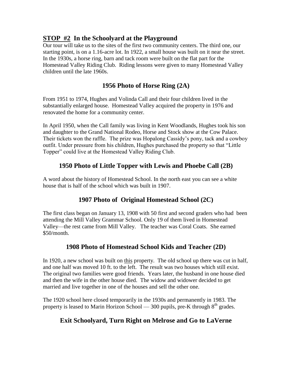#### **STOP #2 In the Schoolyard at the Playground**

Our tour will take us to the sites of the first two community centers. The third one, our starting point, is on a 1.16-acre lot. In 1922, a small house was built on it near the street. In the 1930s, a horse ring, barn and tack room were built on the flat part for the Homestead Valley Riding Club. Riding lessons were given to many Homestead Valley children until the late 1960s.

#### **1956 Photo of Horse Ring (2A)**

From 1951 to 1974, Hughes and Volinda Call and their four children lived in the substantially enlarged house. Homestead Valley acquired the property in 1976 and renovated the home for a community center.

In April 1950, when the Call family was living in Kent Woodlands, Hughes took his son and daughter to the Grand National Rodeo, Horse and Stock show at the Cow Palace. Their tickets won the raffle. The prize was Hopalong Cassidy's pony, tack and a cowboy outfit. Under pressure from his children, Hughes purchased the property so that "Little Topper" could live at the Homestead Valley Riding Club.

# **1950 Photo of Little Topper with Lewis and Phoebe Call (2B)**

A word about the history of Homestead School. In the north east you can see a white house that is half of the school which was built in 1907.

# **1907 Photo of Original Homestead School (2C)**

The first class began on January 13, 1908 with 50 first and second graders who had been attending the Mill Valley Grammar School. Only 19 of them lived in Homestead Valley—the rest came from Mill Valley. The teacher was Coral Coats. She earned \$50/month.

# **1908 Photo of Homestead School Kids and Teacher (2D)**

In 1920, a new school was built on this property. The old school up there was cut in half, and one half was moved 10 ft. to the left. The result was two houses which still exist. The original two families were good friends. Years later, the husband in one house died and then the wife in the other house died. The widow and widower decided to get married and live together in one of the houses and sell the other one.

The 1920 school here closed temporarily in the 1930s and permanently in 1983. The property is leased to Marin Horizon School — 300 pupils, pre-K through  $8<sup>th</sup>$  grades.

# **Exit Schoolyard, Turn Right on Melrose and Go to LaVerne**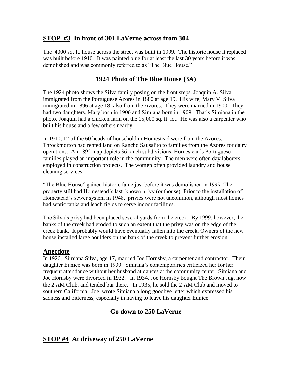# **STOP #3 In front of 301 LaVerne across from 304**

The 4000 sq. ft. house across the street was built in 1999. The historic house it replaced was built before 1910. It was painted blue for at least the last 30 years before it was demolished and was commonly referred to as "The Blue House."

# **1924 Photo of The Blue House (3A)**

The 1924 photo shows the Silva family posing on the front steps. Joaquin A. Silva immigrated from the Portuguese Azores in 1880 at age 19. His wife, Mary V. Silva immigrated in 1896 at age 18, also from the Azores. They were married in 1900. They had two daughters, Mary born in 1906 and Simiana born in 1909. That's Simiana in the photo. Joaquin had a chicken farm on the 15,000 sq. ft. lot. He was also a carpenter who built his house and a few others nearby.

In 1910, 12 of the 60 heads of household in Homestead were from the Azores. Throckmorton had rented land on Rancho Sausalito to families from the Azores for dairy operations. An 1892 map depicts 36 ranch subdivisions. Homestead's Portuguese families played an important role in the community. The men were often day laborers employed in construction projects. The women often provided laundry and house cleaning services.

"The Blue House" gained historic fame just before it was demolished in 1999. The property still had Homestead's last known privy (outhouse). Prior to the installation of Homestead's sewer system in 1948, privies were not uncommon, although most homes had septic tanks and leach fields to serve indoor facilities.

The Silva's privy had been placed several yards from the creek. By 1999, however, the banks of the creek had eroded to such an extent that the privy was on the edge of the creek bank. It probably would have eventually fallen into the creek. Owners of the new house installed large boulders on the bank of the creek to prevent further erosion.

#### **Anecdote**

In 1926, Simiana Silva, age 17, married Joe Hornsby, a carpenter and contractor. Their daughter Eunice was born in 1930. Simiana's contemporaries criticized her for her frequent attendance without her husband at dances at the community center. Simiana and Joe Hornsby were divorced in 1932. In 1934, Joe Hornsby bought The Brown Jug, now the 2 AM Club, and tended bar there. In 1935, he sold the 2 AM Club and moved to southern California. Joe wrote Simiana a long goodbye letter which expressed his sadness and bitterness, especially in having to leave his daughter Eunice.

# **Go down to 250 LaVerne**

# **STOP #4 At driveway of 250 LaVerne**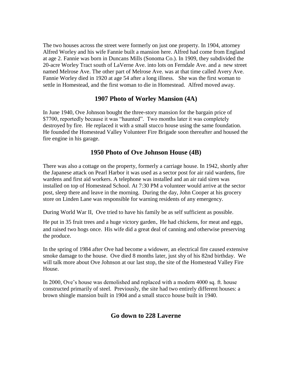The two houses across the street were formerly on just one property. In 1904, attorney Alfred Worley and his wife Fannie built a mansion here. Alfred had come from England at age 2. Fannie was born in Duncans Mills (Sonoma Co.). In 1909, they subdivided the 20-acre Worley Tract south of LaVerne Ave. into lots on Ferndale Ave. and a new street named Melrose Ave. The other part of Melrose Ave. was at that time called Avery Ave. Fannie Worley died in 1920 at age 54 after a long illness. She was the first woman to settle in Homestead, and the first woman to die in Homestead. Alfred moved away.

#### **1907 Photo of Worley Mansion (4A)**

In June 1940, Ove Johnson bought the three-story mansion for the bargain price of \$7700, reportedly because it was "haunted". Two months later it was completely destroyed by fire. He replaced it with a small stucco house using the same foundation. He founded the Homestead Valley Volunteer Fire Brigade soon thereafter and housed the fire engine in his garage.

#### **1950 Photo of Ove Johnson House (4B)**

There was also a cottage on the property, formerly a carriage house. In 1942, shortly after the Japanese attack on Pearl Harbor it was used as a sector post for air raid wardens, fire wardens and first aid workers. A telephone was installed and an air raid siren was installed on top of Homestead School. At 7:30 PM a volunteer would arrive at the sector post, sleep there and leave in the morning. During the day, John Cooper at his grocery store on Linden Lane was responsible for warning residents of any emergency.

During World War II, Ove tried to have his family be as self sufficient as possible.

He put in 35 fruit trees and a huge victory garden. He had chickens, for meat and eggs, and raised two hogs once. His wife did a great deal of canning and otherwise preserving the produce.

In the spring of 1984 after Ove had become a widower, an electrical fire caused extensive smoke damage to the house. Ove died 8 months later, just shy of his 82nd birthday. We will talk more about Ove Johnson at our last stop, the site of the Homestead Valley Fire House.

In 2000, Ove's house was demolished and replaced with a modern 4000 sq. ft. house constructed primarily of steel. Previously, the site had two entirely different houses: a brown shingle mansion built in 1904 and a small stucco house built in 1940.

# **Go down to 228 Laverne**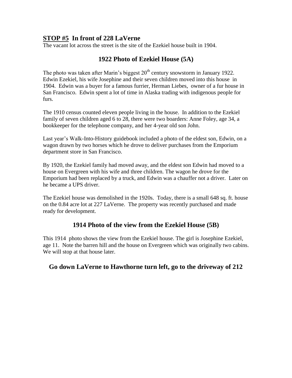# **STOP #5 In front of 228 LaVerne**

The vacant lot across the street is the site of the Ezekiel house built in 1904.

# **1922 Photo of Ezekiel House (5A)**

The photo was taken after Marin's biggest  $20<sup>th</sup>$  century snowstorm in January 1922. Edwin Ezekiel, his wife Josephine and their seven children moved into this house in 1904. Edwin was a buyer for a famous furrier, Herman Liebes, owner of a fur house in San Francisco. Edwin spent a lot of time in Alaska trading with indigenous people for furs.

The 1910 census counted eleven people living in the house. In addition to the Ezekiel family of seven children aged 6 to 28, there were two boarders: Anne Foley, age 34, a bookkeeper for the telephone company, and her 4-year old son John.

Last year's Walk-Into-History guidebook included a photo of the eldest son, Edwin, on a wagon drawn by two horses which he drove to deliver purchases from the Emporium department store in San Francisco.

By 1920, the Ezekiel family had moved away, and the eldest son Edwin had moved to a house on Evergreen with his wife and three children. The wagon he drove for the Emporium had been replaced by a truck, and Edwin was a chauffer not a driver. Later on he became a UPS driver.

The Ezekiel house was demolished in the 1920s. Today, there is a small 648 sq. ft. house on the 0.84 acre lot at 227 LaVerne. The property was recently purchased and made ready for development.

# **1914 Photo of the view from the Ezekiel House (5B)**

This 1914 photo shows the view from the Ezekiel house. The girl is Josephine Ezekiel, age 11. Note the barren hill and the house on Evergreen which was originally two cabins. We will stop at that house later.

# **Go down LaVerne to Hawthorne turn left, go to the driveway of 212**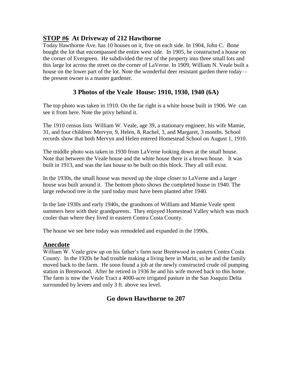#### **STOP #6 At Driveway of 212 Hawthorne**

Today Hawthorne Ave. has 10 houses on it, five on each side. In 1904, John C. Bone bought the lot that encompassed the entire west side. In 1905, he constructed a house on the corner of Evergreen. He subdivided the rest of the property into three small lots and this large lot across the street on the corner of LaVerne. In 1909, William N. Veale built a house on the lower part of the lot. Note the wonderful deer resistant garden there today the present owner is a master gardener.

# **3 Photos of the Veale House: 1910, 1930, 1940 (6A)**

The top photo was taken in 1910. On the far right is a white house built in 1906. We can see it from here. Note the privy behind it.

The 1910 census lists William W. Veale, age 39, a stationary engineer, his wife Mamie, 31, and four children: Mervyn, 9, Helen, 8, Rachel, 3, and Margaret, 3 months. School records show that both Mervyn and Helen entered Homestead School on August 1, 1910.

The middle photo was taken in 1930 from LaVerne looking down at the small house. Note that between the Veale house and the white house there is a brown house. It was built in 1913, and was the last house to be built on this block. They all still exist.

In the 1930s, the small house was moved up the slope closer to LaVerne and a larger house was built around it. The bottom photo shows the completed house in 1940. The large redwood tree in the yard today must have been planted after 1940.

In the late 1930s and early 1940s, the grandsons of William and Mamie Veale spent summers here with their grandparents. They enjoyed Homestead Valley which was much cooler than where they lived in eastern Contra Costa County.

The house we see here today was remodeled and expanded in the 1990s.

#### **Anecdote**

William W. Veale grew up on his father's farm near Brentwood in eastern Contra Costa County. In the 1920s he had trouble making a living here in Marin, so he and the family moved back to the farm. He soon found a job at the newly constructed crude oil pumping station in Brentwood. After he retired in 1936 he and his wife moved back to this home. The farm is now the Veale Tract a 4000-acre irrigated pasture in the San Joaquin Delta surrounded by levees and only 3 ft. above sea level.

# **Go down Hawthorne to 207**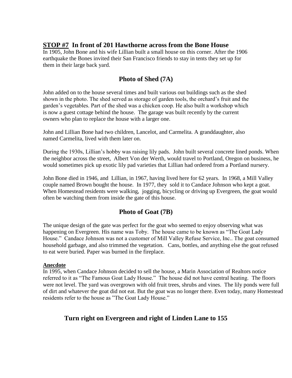# **STOP #7 In front of 201 Hawthorne across from the Bone House**

In 1905, John Bone and his wife Lillian built a small house on this corner. After the 1906 earthquake the Bones invited their San Francisco friends to stay in tents they set up for them in their large back yard.

# **Photo of Shed (7A)**

John added on to the house several times and built various out buildings such as the shed shown in the photo. The shed served as storage of garden tools, the orchard's fruit and the garden's vegetables. Part of the shed was a chicken coop. He also built a workshop which is now a guest cottage behind the house. The garage was built recently by the current owners who plan to replace the house with a larger one.

John and Lillian Bone had two children, Lancelot, and Carmelita. A granddaughter, also named Carmelita, lived with them later on.

During the 1930s, Lillian's hobby was raising lily pads. John built several concrete lined ponds. When the neighbor across the street, Albert Von der Werth, would travel to Portland, Oregon on business, he would sometimes pick up exotic lily pad varieties that Lillian had ordered from a Portland nursery.

John Bone died in 1946, and Lillian, in 1967, having lived here for 62 years. In 1968, a Mill Valley couple named Brown bought the house. In 1977, they sold it to Candace Johnson who kept a goat. When Homestead residents were walking, jogging, bicycling or driving up Evergreen, the goat would often be watching them from inside the gate of this house.

# **Photo of Goat (7B)**

The unique design of the gate was perfect for the goat who seemed to enjoy observing what was happening on Evergreen. His name was Toby. The house came to be known as "The Goat Lady House." Candace Johnson was not a customer of Mill Valley Refuse Service, Inc.. The goat consumed household garbage, and also trimmed the vegetation. Cans, bottles, and anything else the goat refused to eat were buried. Paper was burned in the fireplace.

#### **Anecdote**

In 1995, when Candace Johnson decided to sell the house, a Marin Association of Realtors notice referred to it as "The Famous Goat Lady House." The house did not have central heating. The floors were not level. The yard was overgrown with old fruit trees, shrubs and vines. The lily ponds were full of dirt and whatever the goat did not eat. But the goat was no longer there. Even today, many Homestead residents refer to the house as "The Goat Lady House."

# **Turn right on Evergreen and right of Linden Lane to 155**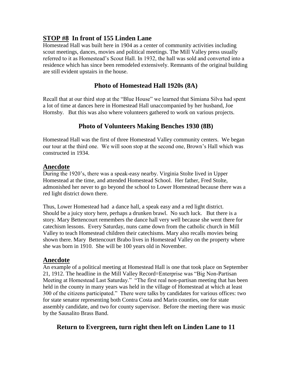# **STOP #8 In front of 155 Linden Lane**

Homestead Hall was built here in 1904 as a center of community activities including scout meetings, dances, movies and political meetings. The Mill Valley press usually referred to it as Homestead's Scout Hall. In 1932, the hall was sold and converted into a residence which has since been remodeled extensively. Remnants of the original building are still evident upstairs in the house.

# **Photo of Homestead Hall 1920s (8A)**

Recall that at our third stop at the "Blue House" we learned that Simiana Silva had spent a lot of time at dances here in Homestead Hall unaccompanied by her husband, Joe Hornsby. But this was also where volunteers gathered to work on various projects.

#### **Photo of Volunteers Making Benches 1930 (8B)**

Homestead Hall was the first of three Homestead Valley community centers. We began our tour at the third one. We will soon stop at the second one, Brown's Hall which was constructed in 1934.

#### **Anecdote**

During the 1920's, there was a speak-easy nearby. Virginia Stolte lived in Upper Homestead at the time, and attended Homestead School. Her father, Fred Stolte, admonished her never to go beyond the school to Lower Homestead because there was a red light district down there.

Thus, Lower Homestead had a dance hall, a speak easy and a red light district. Should be a juicy story here, perhaps a drunken brawl. No such luck. But there is a story. Mary Bettencourt remembers the dance hall very well because she went there for catechism lessons. Every Saturday, nuns came down from the catholic church in Mill Valley to teach Homestead children their catechisms. Mary also recalls movies being shown there. Mary Bettencourt Brabo lives in Homestead Valley on the property where she was born in 1910. She will be 100 years old in November.

#### **Anecdote**

An example of a political meeting at Homestead Hall is one that took place on September 21, 1912. The headline in the Mill Valley Record=Enterprise was "Big Non-Partisan Meeting at Homestead Last Saturday." "The first real non-partisan meeting that has been held in the county in many years was held in the village of Homestead at which at least 300 of the citizens participated." There were talks by candidates for various offices: two for state senator representing both Contra Costa and Marin counties, one for state assembly candidate, and two for county supervisor. Before the meeting there was music by the Sausalito Brass Band.

# **Return to Evergreen, turn right then left on Linden Lane to 11**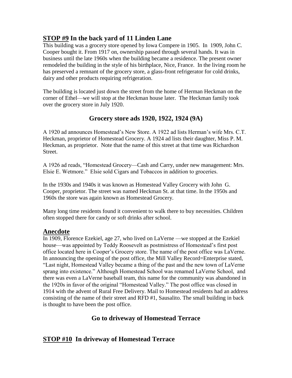# **STOP #9 In the back yard of 11 Linden Lane**

This building was a grocery store opened by Iowa Compere in 1905. In 1909, John C. Cooper bought it. From 1917 on, ownership passed through several hands. It was in business until the late 1960s when the building became a residence. The present owner remodeled the building in the style of his birthplace, Nice, France. In the living room he has preserved a remnant of the grocery store, a glass-front refrigerator for cold drinks, dairy and other products requiring refrigeration.

The building is located just down the street from the home of Herman Heckman on the corner of Ethel—we will stop at the Heckman house later. The Heckman family took over the grocery store in July 1920.

# **Grocery store ads 1920, 1922, 1924 (9A)**

A 1920 ad announces Homestead's New Store. A 1922 ad lists Herman's wife Mrs. C.T. Heckman, proprietor of Homestead Grocery. A 1924 ad lists their daughter, Miss P. M. Heckman, as proprietor. Note that the name of this street at that time was Richardson Street.

A 1926 ad reads, "Homestead Grocery—Cash and Carry, under new management: Mrs. Elsie E. Wetmore." Elsie sold Cigars and Tobaccos in addition to groceries.

In the 1930s and 1940s it was known as Homestead Valley Grocery with John G. Cooper, proprietor. The street was named Heckman St. at that time. In the 1950s and 1960s the store was again known as Homestead Grocery.

Many long time residents found it convenient to walk there to buy necessities. Children often stopped there for candy or soft drinks after school.

#### **Anecdote**

In 1909, Florence Ezekiel, age 27, who lived on LaVerne —we stopped at the Ezekiel house—was appointed by Teddy Roosevelt as postmistress of Homestead's first post office located here in Cooper's Grocery store. The name of the post office was LaVerne. In announcing the opening of the post office, the Mill Valley Record=Enterprise stated, "Last night, Homestead Valley became a thing of the past and the new town of LaVerne sprang into existence." Although Homestead School was renamed LaVerne School, and there was even a LaVerne baseball team, this name for the community was abandoned in the 1920s in favor of the original "Homestead Valley." The post office was closed in 1914 with the advent of Rural Free Delivery. Mail to Homestead residents had an address consisting of the name of their street and RFD #1, Sausalito. The small building in back is thought to have been the post office.

# **Go to driveway of Homestead Terrace**

# **STOP #10 In driveway of Homestead Terrace**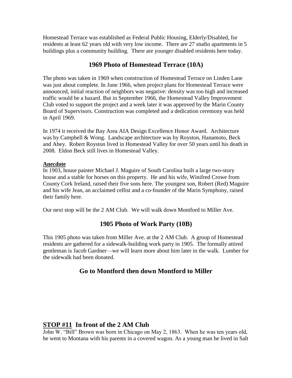Homestead Terrace was established as Federal Public Housing, Elderly/Disabled, for residents at least 62 years old with very low income. There are 27 studio apartments in 5 buildings plus a community building. There are younger disabled residents here today.

# **1969 Photo of Homestead Terrace (10A)**

The photo was taken in 1969 when construction of Homestead Terrace on Linden Lane was just about complete. In June 1966, when project plans for Homestead Terrace were announced, initial reaction of neighbors was negative: density was too high and increased traffic would be a hazard. But in September 1966, the Homestead Valley Improvement Club voted to support the project and a week later it was approved by the Marin County Board of Supervisors. Construction was completed and a dedication ceremony was held in April 1969.

In 1974 it received the Bay Area AIA Design Excellence Honor Award. Architecture was by Campbell & Wong. Landscape architecture was by Royston, Hanamoto, Beck and Abey. Robert Royston lived in Homestead Valley for over 50 years until his death in 2008. Eldon Beck still lives in Homestead Valley.

#### **Anecdote**

In 1903, house painter Michael J. Maguire of South Carolina built a large two-story house and a stable for horses on this property. He and his wife, Winifred Crowe from County Cork Ireland, raised their five sons here. The youngest son, Robert (Red) Maguire and his wife Jean, an acclaimed cellist and a co-founder of the Marin Symphony, raised their family here.

Our next stop will be the 2 AM Club. We will walk down Montford to Miller Ave.

# **1905 Photo of Work Party (10B)**

This 1905 photo was taken from Miller Ave. at the 2 AM Club. A group of Homestead residents are gathered for a sidewalk-building work party in 1905. The formally attired gentleman is Jacob Gardner—we will learn more about him later in the walk. Lumber for the sidewalk had been donated.

# **Go to Montford then down Montford to Miller**

# **STOP #11 In front of the 2 AM Club**

John W. "Bill" Brown was born in Chicago on May 2, 1863. When he was ten years old, he went to Montana with his parents in a covered wagon. As a young man he lived in Salt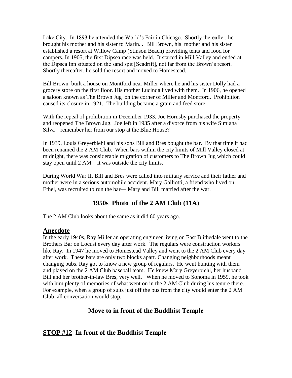Lake City. In 1893 he attended the World's Fair in Chicago. Shortly thereafter, he brought his mother and his sister to Marin. . Bill Brown, his mother and his sister established a resort at Willow Camp (Stinson Beach) providing tents and food for campers. In 1905, the first Dipsea race was held. It started in Mill Valley and ended at the Dipsea Inn situated on the sand spit [Seadrift], not far from the Brown's resort. Shortly thereafter, he sold the resort and moved to Homestead.

Bill Brown built a house on Montford near Miller where he and his sister Dolly had a grocery store on the first floor. His mother Lucinda lived with them. In 1906, he opened a saloon known as The Brown Jug on the corner of Miller and Montford. Prohibition caused its closure in 1921. The building became a grain and feed store.

With the repeal of prohibition in December 1933, Joe Hornsby purchased the property and reopened The Brown Jug. Joe left in 1935 after a divorce from his wife Simiana Silva—remember her from our stop at the Blue House?

In 1939, Louis Greyerbiehl and his sons Bill and Bres bought the bar. By that time it had been renamed the 2 AM Club. When bars within the city limits of Mill Valley closed at midnight, there was considerable migration of customers to The Brown Jug which could stay open until 2 AM—it was outside the city limits.

During World War II, Bill and Bres were called into military service and their father and mother were in a serious automobile accident. Mary Galliotti, a friend who lived on Ethel, was recruited to run the bar— Mary and Bill married after the war.

# **1950s Photo of the 2 AM Club (11A)**

The 2 AM Club looks about the same as it did 60 years ago.

#### **Anecdote**

In the early 1940s, Ray Miller an operating engineer living on East Blithedale went to the Brothers Bar on Locust every day after work. The regulars were construction workers like Ray. In 1947 he moved to Homestead Valley and went to the 2 AM Club every day after work. These bars are only two blocks apart. Changing neighborhoods meant changing pubs. Ray got to know a new group of regulars. He went hunting with them and played on the 2 AM Club baseball team. He knew Mary Greyerbiehl, her husband Bill and her brother-in-law Bres, very well. When he moved to Sonoma in 1959, he took with him plenty of memories of what went on in the 2 AM Club during his tenure there. For example, when a group of suits just off the bus from the city would enter the 2 AM Club, all conversation would stop.

# **Move to in front of the Buddhist Temple**

# **STOP #12 In front of the Buddhist Temple**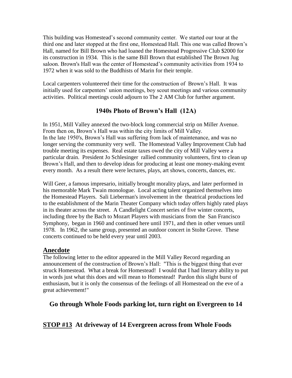This building was Homestead's second community center. We started our tour at the third one and later stopped at the first one, Homestead Hall. This one was called Brown's Hall, named for Bill Brown who had loaned the Homestead Progressive Club \$2000 for its construction in 1934. This is the same Bill Brown that established The Brown Jug saloon. Brown's Hall was the center of Homestead's community activities from 1934 to 1972 when it was sold to the Buddhists of Marin for their temple.

Local carpenters volunteered their time for the construction of Brown's Hall. It was initially used for carpenters' union meetings, boy scout meetings and various community activities. Political meetings could adjourn to The 2 AM Club for further argument.

# **1940s Photo of Brown's Hall (12A)**

In 1951, Mill Valley annexed the two-block long commercial strip on Miller Avenue. From then on, Brown's Hall was within the city limits of Mill Valley. In the late 1950's, Brown's Hall was suffering from lack of maintenance, and was no longer serving the community very well. The Homestead Valley Improvement Club had trouble meeting its expenses. Real estate taxes owed the city of Mill Valley were a particular drain. President Jo Schlesinger rallied community volunteers, first to clean up Brown's Hall, and then to develop ideas for producing at least one money-making event every month. As a result there were lectures, plays, art shows, concerts, dances, etc.

Will Geer, a famous impresario, initially brought morality plays, and later performed in his memorable Mark Twain monologue. Local acting talent organized themselves into the Homestead Players. Sali Lieberman's involvement in the theatrical productions led to the establishment of the Marin Theater Company which today offers highly rated plays in its theater across the street. A Candlelight Concert series of five winter concerts, including three by the Bach to Mozart Players with musicians from the San Francisco Symphony, began in 1960 and continued here until 1971, and then in other venues until 1978. In 1962, the same group, presented an outdoor concert in Stolte Grove. These concerts continued to be held every year until 2003.

# **Anecdote**

The following letter to the editor appeared in the Mill Valley Record regarding an announcement of the construction of Brown's Hall: "This is the biggest thing that ever struck Homestead. What a break for Homestead! I would that I had literary ability to put in words just what this does and will mean to Homestead! Pardon this slight burst of enthusiasm, but it is only the consensus of the feelings of all Homestead on the eve of a great achievement!"

# **Go through Whole Foods parking lot, turn right on Evergreen to 14**

# **STOP #13 At driveway of 14 Evergreen across from Whole Foods**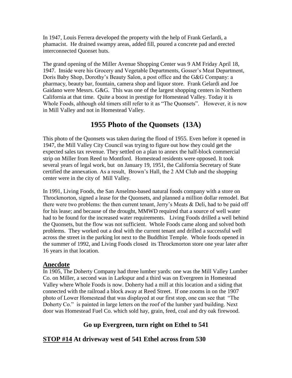In 1947, Louis Ferrera developed the property with the help of Frank Gerlardi, a phamacist. He drained swampy areas, added fill, poured a concrete pad and erected interconnected Quonset huts.

The grand opening of the Miller Avenue Shopping Center was 9 AM Friday April 18, 1947. Inside were his Grocery and Vegetable Departments, Gosser's Meat Department, Doris Baby Shop, Dorothy's Beauty Salon, a post office and the G&G Company: a pharmacy, beauty bar, fountain, camera shop and liquor store. Frank Gelardi and Joe Gaidano were Messrs. G&G. This was one of the largest shopping centers in Northern California at that time. Quite a boost in prestige for Homestead Valley. Today it is Whole Foods, although old timers still refer to it as "The Quonsets". However, it is now in Mill Valley and not in Homestead Valley.

# **1955 Photo of the Quonsets (13A)**

This photo of the Quonsets was taken during the flood of 1955. Even before it opened in 1947, the Mill Valley City Council was trying to figure out how they could get the expected sales tax revenue. They settled on a plan to annex the half-block commercial strip on Miller from Reed to Montford. Homestead residents were opposed. It took several years of legal work, but on January 19, 1951, the California Secretary of State certified the annexation. As a result, Brown's Hall, the 2 AM Club and the shopping center were in the city of Mill Valley.

In 1991, Living Foods, the San Anselmo-based natural foods company with a store on Throckmorton, signed a lease for the Quonsets, and planned a million dollar remodel. But there were two problems: the then current tenant, Jerry's Meats & Deli, had to be paid off for his lease; and because of the drought, MMWD required that a source of well water had to be found for the increased water requirements. Living Foods drilled a well behind the Quonsets, but the flow was not sufficient. Whole Foods came along and solved both problems. They worked out a deal with the current tenant and drilled a successful well across the street in the parking lot next to the Buddhist Temple. Whole foods opened in the summer of 1992, and Living Foods closed its Throckmorton store one year later after 16 years in that location.

# **Anecdote**

In 1905, The Doherty Company had three lumber yards: one was the Mill Valley Lumber Co. on Miller, a second was in Larkspur and a third was on Evergreen in Homestead Valley where Whole Foods is now. Doherty had a mill at this location and a siding that connected with the railroad a block away at Reed Street. If one zooms in on the 1907 photo of Lower Homestead that was displayed at our first stop, one can see that "The Doherty Co." is painted in large letters on the roof of the lumber yard building. Next door was Homestead Fuel Co. which sold hay, grain, feed, coal and dry oak firewood.

# **Go up Evergreen, turn right on Ethel to 541**

# **STOP #14 At driveway west of 541 Ethel across from 530**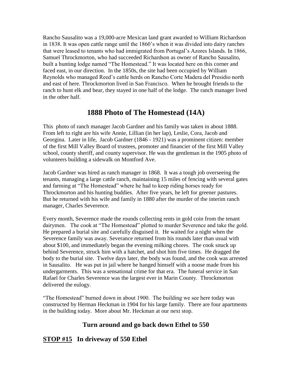Rancho Sausalito was a 19,000-acre Mexican land grant awarded to William Richardson in 1838. It was open cattle range until the 1860's when it was divided into dairy ranches that were leased to tenants who had immigrated from Portugal's Azores Islands. In 1866, Samuel Throckmorton, who had succeeded Richardson as owner of Rancho Sausalito, built a hunting lodge named "The Homestead." It was located here on this corner and faced east, in our direction. In the 1850s, the site had been occupied by William Reynolds who managed Reed's cattle herds on Rancho Corte Madera del Presidio north and east of here. Throckmorton lived in San Francisco. When he brought friends to the ranch to hunt elk and bear, they stayed in one half of the lodge. The ranch manager lived in the other half.

# **1888 Photo of The Homestead (14A)**

This photo of ranch manager Jacob Gardner and his family was taken in about 1888. From left to right are his wife Annie, Lillian (in her lap), Leslie, Cora, Jacob and Georgina. Later in life, Jacob Gardner (1846 - 1921) was a prominent citizen: member of the first Mill Valley Board of trustees, promoter and financier of the first Mill Valley school, county sheriff, and county supervisor. He was the gentleman in the 1905 photo of volunteers building a sidewalk on Montford Ave.

Jacob Gardner was hired as ranch manager in 1868. It was a tough job overseeing the tenants, managing a large cattle ranch, maintaining 15 miles of fencing with several gates and farming at "The Homestead" where he had to keep riding horses ready for Throckmorton and his hunting buddies. After five years, he left for greener pastures. But he returned with his wife and family in 1880 after the murder of the interim ranch manager, Charles Severence.

Every month, Severence made the rounds collecting rents in gold coin from the tenant dairymen. The cook at "The Homestead" plotted to murder Severence and take the gold. He prepared a burial site and carefully disguised it. He waited for a night when the Severence family was away. Severance returned from his rounds later than usual with about \$100, and immediately began the evening milking chores. The cook snuck up behind Severence, struck him with a hatchet, and shot him five times. He dragged the body to the burial site. Twelve days later, the body was found, and the cook was arrested in Sausalito. He was put in jail where he hanged himself with a noose made from his undergarments. This was a sensational crime for that era. The funeral service in San Rafael for Charles Severence was the largest ever in Marin County. Throckmorton delivered the eulogy.

"The Homestead" burned down in about 1900. The building we see here today was constructed by Herman Heckman in 1904 for his large family. There are four apartments in the building today. More about Mr. Heckman at our next stop.

# **Turn around and go back down Ethel to 550**

**STOP #15 In driveway of 550 Ethel**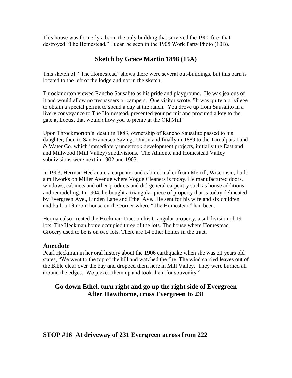This house was formerly a barn, the only building that survived the 1900 fire that destroyed "The Homestead." It can be seen in the 1905 Work Party Photo (10B).

# **Sketch by Grace Martin 1898 (15A)**

This sketch of "The Homestead" shows there were several out-buildings, but this barn is located to the left of the lodge and not in the sketch.

Throckmorton viewed Rancho Sausalito as his pride and playground. He was jealous of it and would allow no trespassers or campers. One visitor wrote, "It was quite a privilege to obtain a special permit to spend a day at the ranch. You drove up from Sausalito in a livery conveyance to The Homestead, presented your permit and procured a key to the gate at Locust that would allow you to picnic at the Old Mill."

Upon Throckmorton's death in 1883, ownership of Rancho Sausalito passed to his daughter, then to San Francisco Savings Union and finally in 1889 to the Tamalpais Land & Water Co. which immediately undertook development projects, initially the Eastland and Millwood (Mill Valley) subdivisions. The Almonte and Homestead Valley subdivisions were next in 1902 and 1903.

In 1903, Herman Heckman, a carpenter and cabinet maker from Merrill, Wisconsin, built a millworks on Miller Avenue where Vogue Cleaners is today. He manufactured doors, windows, cabinets and other products and did general carpentry such as house additions and remodeling. In 1904, he bought a triangular piece of property that is today delineated by Evergreen Ave., Linden Lane and Ethel Ave. He sent for his wife and six children and built a 13 room house on the corner where "The Homestead" had been.

Herman also created the Heckman Tract on his triangular property, a subdivision of 19 lots. The Heckman home occupied three of the lots. The house where Homestead Grocery used to be is on two lots. There are 14 other homes in the tract.

#### **Anecdote**

Pearl Heckman in her oral history about the 1906 earthquake when she was 21 years old states, "We went to the top of the hill and watched the fire. The wind carried leaves out of the Bible clear over the bay and dropped them here in Mill Valley. They were burned all around the edges. We picked them up and took them for souvenirs."

# **Go down Ethel, turn right and go up the right side of Evergreen After Hawthorne, cross Evergreen to 231**

# **STOP #16 At driveway of 231 Evergreen across from 222**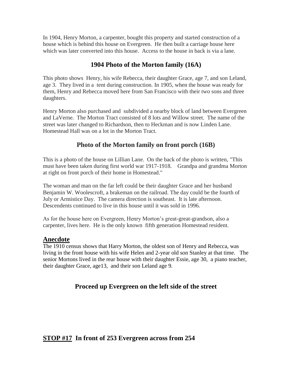In 1904, Henry Morton, a carpenter, bought this property and started construction of a house which is behind this house on Evergreen. He then built a carriage house here which was later converted into this house. Access to the house in back is via a lane.

# **1904 Photo of the Morton family (16A)**

This photo shows Henry, his wife Rebecca, their daughter Grace, age 7, and son Leland, age 3. They lived in a tent during construction. In 1905, when the house was ready for them, Henry and Rebecca moved here from San Francisco with their two sons and three daughters.

Henry Morton also purchased and subdivided a nearby block of land between Evergreen and LaVerne. The Morton Tract consisted of 8 lots and Willow street. The name of the street was later changed to Richardson, then to Heckman and is now Linden Lane. Homestead Hall was on a lot in the Morton Tract.

# **Photo of the Morton family on front porch (16B)**

This is a photo of the house on Lillian Lane. On the back of the photo is written, "This must have been taken during first world war 1917-1918. Grandpa and grandma Morton at right on front porch of their home in Homestead."

The woman and man on the far left could be their daughter Grace and her husband Benjamin W. Woolescroft, a brakeman on the railroad. The day could be the fourth of July or Armistice Day. The camera direction is southeast. It is late afternoon. Descendents continued to live in this house until it was sold in 1996.

As for the house here on Evergreen, Henry Morton's great-great-grandson, also a carpenter, lives here. He is the only known fifth generation Homestead resident.

#### **Anecdote**

The 1910 census shows that Harry Morton, the oldest son of Henry and Rebecca, was living in the front house with his wife Helen and 2-year old son Stanley at that time. The senior Mortons lived in the rear house with their daughter Essie, age 30, a piano teacher, their daughter Grace, age13, and their son Leland age 9.

# **Proceed up Evergreen on the left side of the street**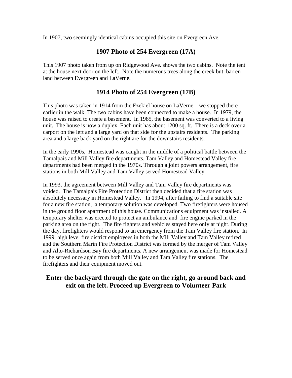In 1907, two seemingly identical cabins occupied this site on Evergreen Ave.

#### **1907 Photo of 254 Evergreen (17A)**

This 1907 photo taken from up on Ridgewood Ave. shows the two cabins. Note the tent at the house next door on the left. Note the numerous trees along the creek but barren land between Evergreen and LaVerne.

#### **1914 Photo of 254 Evergreen (17B)**

This photo was taken in 1914 from the Ezekiel house on LaVerne—we stopped there earlier in the walk. The two cabins have been connected to make a house. In 1979, the house was raised to create a basement. In 1985, the basement was converted to a living unit. The house is now a duplex. Each unit has about 1200 sq. ft. There is a deck over a carport on the left and a large yard on that side for the upstairs residents. The parking area and a large back yard on the right are for the downstairs residents.

In the early 1990s, Homestead was caught in the middle of a political battle between the Tamalpais and Mill Valley fire departments. Tam Valley and Homestead Valley fire departments had been merged in the 1970s. Through a joint powers arrangement, fire stations in both Mill Valley and Tam Valley served Homestead Valley.

In 1993, the agreement between Mill Valley and Tam Valley fire departments was voided. The Tamalpais Fire Protection District then decided that a fire station was absolutely necessary in Homestead Valley. In 1994, after failing to find a suitable site for a new fire station, a temporary solution was developed. Two firefighters were housed in the ground floor apartment of this house. Communications equipment was installed. A temporary shelter was erected to protect an ambulance and fire engine parked in the parking area on the right. The fire fighters and vehicles stayed here only at night. During the day, firefighters would respond to an emergency from the Tam Valley fire station. In 1999, high level fire district employees in both the Mill Valley and Tam Valley retired and the Southern Marin Fire Protection District was formed by the merger of Tam Valley and Alto-Richardson Bay fire departments. A new arrangement was made for Homestead to be served once again from both Mill Valley and Tam Valley fire stations. The firefighters and their equipment moved out.

#### **Enter the backyard through the gate on the right, go around back and exit on the left. Proceed up Evergreen to Volunteer Park**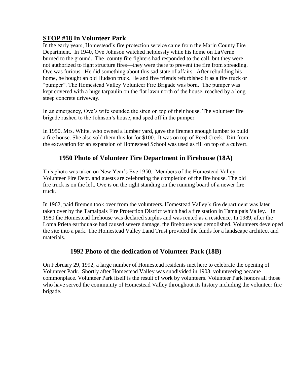# **STOP #18 In Volunteer Park**

In the early years, Homestead's fire protection service came from the Marin County Fire Department. In 1940, Ove Johnson watched helplessly while his home on LaVerne burned to the ground. The county fire fighters had responded to the call, but they were not authorized to fight structure fires—they were there to prevent the fire from spreading. Ove was furious. He did something about this sad state of affairs. After rebuilding his home, he bought an old Hudson truck. He and five friends refurbished it as a fire truck or "pumper". The Homestead Valley Volunteer Fire Brigade was born. The pumper was kept covered with a huge tarpaulin on the flat lawn north of the house, reached by a long steep concrete driveway.

In an emergency, Ove's wife sounded the siren on top of their house. The volunteer fire brigade rushed to the Johnson's house, and sped off in the pumper.

In 1950, Mrs. White, who owned a lumber yard, gave the firemen enough lumber to build a fire house. She also sold them this lot for \$100. It was on top of Reed Creek. Dirt from the excavation for an expansion of Homestead School was used as fill on top of a culvert.

# **1950 Photo of Volunteer Fire Department in Firehouse (18A)**

This photo was taken on New Year's Eve 1950. Members of the Homestead Valley Volunteer Fire Dept. and guests are celebrating the completion of the fire house. The old fire truck is on the left. Ove is on the right standing on the running board of a newer fire truck.

In 1962, paid firemen took over from the volunteers. Homestead Valley's fire department was later taken over by the Tamalpais Fire Protection District which had a fire station in Tamalpais Valley. In 1980 the Homestead firehouse was declared surplus and was rented as a residence. In 1989, after the Loma Prieta earthquake had caused severe damage, the firehouse was demolished. Volunteers developed the site into a park. The Homestead Valley Land Trust provided the funds for a landscape architect and materials.

# **1992 Photo of the dedication of Volunteer Park (18B)**

On February 29, 1992, a large number of Homestead residents met here to celebrate the opening of Volunteer Park. Shortly after Homestead Valley was subdivided in 1903, volunteering became commonplace. Volunteer Park itself is the result of work by volunteers. Volunteer Park honors all those who have served the community of Homestead Valley throughout its history including the volunteer fire brigade.